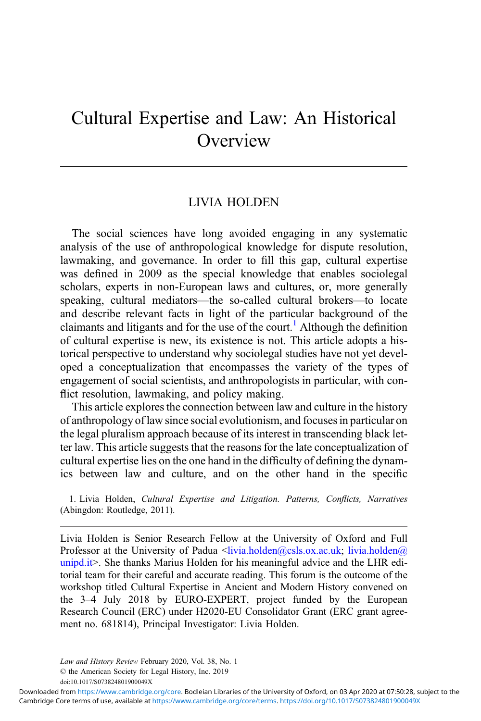# Cultural Expertise and Law: An Historical **Overview**

## LIVIA HOLDEN

The social sciences have long avoided engaging in any systematic analysis of the use of anthropological knowledge for dispute resolution, lawmaking, and governance. In order to fill this gap, cultural expertise was defined in 2009 as the special knowledge that enables sociolegal scholars, experts in non-European laws and cultures, or, more generally speaking, cultural mediators—the so-called cultural brokers—to locate and describe relevant facts in light of the particular background of the claimants and litigants and for the use of the court.<sup>1</sup> Although the definition of cultural expertise is new, its existence is not. This article adopts a historical perspective to understand why sociolegal studies have not yet developed a conceptualization that encompasses the variety of the types of engagement of social scientists, and anthropologists in particular, with conflict resolution, lawmaking, and policy making.

This article explores the connection between law and culture in the history of anthropology of law since social evolutionism, and focuses in particular on the legal pluralism approach because of its interest in transcending black letter law. This article suggests that the reasons for the late conceptualization of cultural expertise lies on the one hand in the difficulty of defining the dynamics between law and culture, and on the other hand in the specific

1. Livia Holden, Cultural Expertise and Litigation. Patterns, Conflicts, Narratives (Abingdon: Routledge, 2011).

Livia Holden is Senior Research Fellow at the University of Oxford and Full Professor at the University of Padua [<livia.holden@csls.ox.ac.uk](mailto:livia.holden@csls.ox.ac.uk); [livia.holden@](mailto:livia.holden@unipd.it) [unipd.it](mailto:livia.holden@unipd.it)>. She thanks Marius Holden for his meaningful advice and the LHR editorial team for their careful and accurate reading. This forum is the outcome of the workshop titled Cultural Expertise in Ancient and Modern History convened on the 3–4 July 2018 by EURO-EXPERT, project funded by the European Research Council (ERC) under H2020-EU Consolidator Grant (ERC grant agreement no. 681814), Principal Investigator: Livia Holden.

Law and History Review February 2020, Vol. 38, No. 1

<sup>©</sup> the American Society for Legal History, Inc. 2019

doi:10.1017/S073824801900049X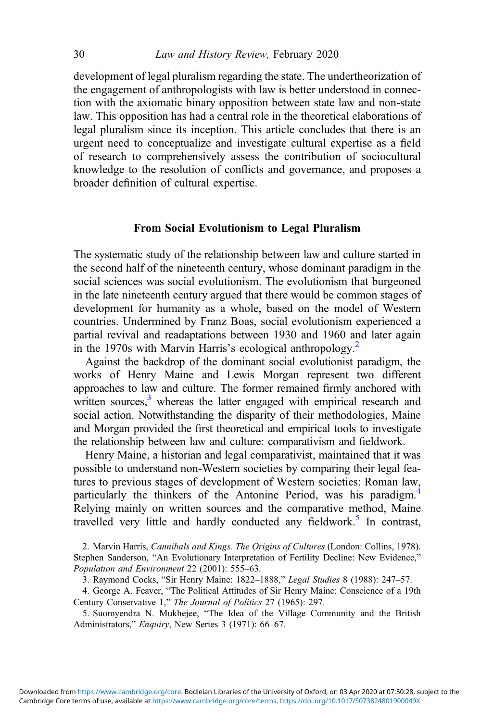development of legal pluralism regarding the state. The undertheorization of the engagement of anthropologists with law is better understood in connection with the axiomatic binary opposition between state law and non-state law. This opposition has had a central role in the theoretical elaborations of legal pluralism since its inception. This article concludes that there is an urgent need to conceptualize and investigate cultural expertise as a field of research to comprehensively assess the contribution of sociocultural knowledge to the resolution of conflicts and governance, and proposes a broader definition of cultural expertise.

#### From Social Evolutionism to Legal Pluralism

The systematic study of the relationship between law and culture started in the second half of the nineteenth century, whose dominant paradigm in the social sciences was social evolutionism. The evolutionism that burgeoned in the late nineteenth century argued that there would be common stages of development for humanity as a whole, based on the model of Western countries. Undermined by Franz Boas, social evolutionism experienced a partial revival and readaptations between 1930 and 1960 and later again in the 1970s with Marvin Harris's ecological anthropology.<sup>2</sup>

Against the backdrop of the dominant social evolutionist paradigm, the works of Henry Maine and Lewis Morgan represent two different approaches to law and culture. The former remained firmly anchored with written sources, $3$  whereas the latter engaged with empirical research and social action. Notwithstanding the disparity of their methodologies, Maine and Morgan provided the first theoretical and empirical tools to investigate the relationship between law and culture: comparativism and fieldwork.

Henry Maine, a historian and legal comparativist, maintained that it was possible to understand non-Western societies by comparing their legal features to previous stages of development of Western societies: Roman law, particularly the thinkers of the Antonine Period, was his paradigm.<sup>4</sup> Relying mainly on written sources and the comparative method, Maine travelled very little and hardly conducted any fieldwork.<sup>5</sup> In contrast,

5. Suomyendra N. Mukhejee, "The Idea of the Village Community and the British Administrators," Enquiry, New Series 3 (1971): 66–67.

<sup>2.</sup> Marvin Harris, Cannibals and Kings. The Origins of Cultures (London: Collins, 1978). Stephen Sanderson, "An Evolutionary Interpretation of Fertility Decline: New Evidence," Population and Environment 22 (2001): 555–63.

<sup>3.</sup> Raymond Cocks, "Sir Henry Maine: 1822–1888," Legal Studies 8 (1988): 247–57.

<sup>4.</sup> George A. Feaver, "The Political Attitudes of Sir Henry Maine: Conscience of a 19th Century Conservative 1," The Journal of Politics 27 (1965): 297.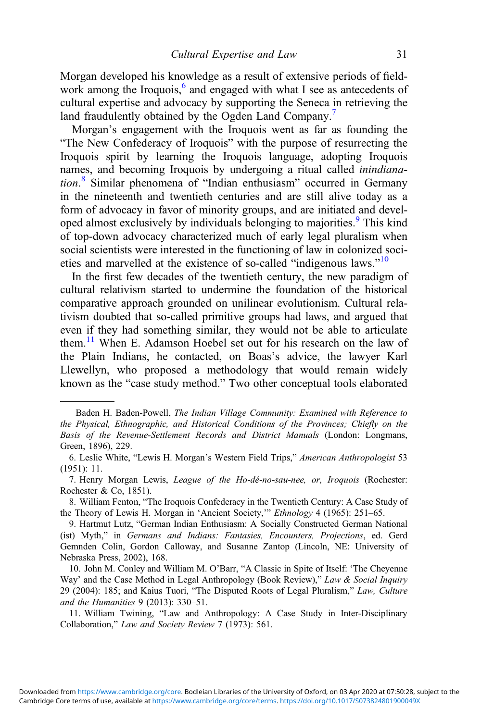Morgan developed his knowledge as a result of extensive periods of fieldwork among the Iroquois,<sup>6</sup> and engaged with what I see as antecedents of cultural expertise and advocacy by supporting the Seneca in retrieving the land fraudulently obtained by the Ogden Land Company.<sup>7</sup>

Morgan's engagement with the Iroquois went as far as founding the "The New Confederacy of Iroquois" with the purpose of resurrecting the Iroquois spirit by learning the Iroquois language, adopting Iroquois names, and becoming Iroquois by undergoing a ritual called inindianation. <sup>8</sup> Similar phenomena of "Indian enthusiasm" occurred in Germany in the nineteenth and twentieth centuries and are still alive today as a form of advocacy in favor of minority groups, and are initiated and developed almost exclusively by individuals belonging to majorities.<sup>9</sup> This kind of top-down advocacy characterized much of early legal pluralism when social scientists were interested in the functioning of law in colonized societies and marvelled at the existence of so-called "indigenous laws."<sup>10</sup>

In the first few decades of the twentieth century, the new paradigm of cultural relativism started to undermine the foundation of the historical comparative approach grounded on unilinear evolutionism. Cultural relativism doubted that so-called primitive groups had laws, and argued that even if they had something similar, they would not be able to articulate them.<sup>11</sup> When E. Adamson Hoebel set out for his research on the law of the Plain Indians, he contacted, on Boas's advice, the lawyer Karl Llewellyn, who proposed a methodology that would remain widely known as the "case study method." Two other conceptual tools elaborated

Baden H. Baden-Powell, The Indian Village Community: Examined with Reference to the Physical, Ethnographic, and Historical Conditions of the Provinces; Chiefly on the Basis of the Revenue-Settlement Records and District Manuals (London: Longmans, Green, 1896), 229.

<sup>6.</sup> Leslie White, "Lewis H. Morgan's Western Field Trips," American Anthropologist 53 (1951): 11.

<sup>7.</sup> Henry Morgan Lewis, League of the Ho-dé-no-sau-nee, or, Iroquois (Rochester: Rochester & Co, 1851).

<sup>8.</sup> William Fenton, "The Iroquois Confederacy in the Twentieth Century: A Case Study of the Theory of Lewis H. Morgan in 'Ancient Society,'" Ethnology 4 (1965): 251–65.

<sup>9.</sup> Hartmut Lutz, "German Indian Enthusiasm: A Socially Constructed German National (ist) Myth," in Germans and Indians: Fantasies, Encounters, Projections, ed. Gerd Gemnden Colin, Gordon Calloway, and Susanne Zantop (Lincoln, NE: University of Nebraska Press, 2002), 168.

<sup>10.</sup> John M. Conley and William M. O'Barr, "A Classic in Spite of Itself: 'The Cheyenne Way' and the Case Method in Legal Anthropology (Book Review)," Law & Social Inquiry 29 (2004): 185; and Kaius Tuori, "The Disputed Roots of Legal Pluralism," Law, Culture and the Humanities 9 (2013): 330–51.

<sup>11.</sup> William Twining, "Law and Anthropology: A Case Study in Inter-Disciplinary Collaboration," Law and Society Review 7 (1973): 561.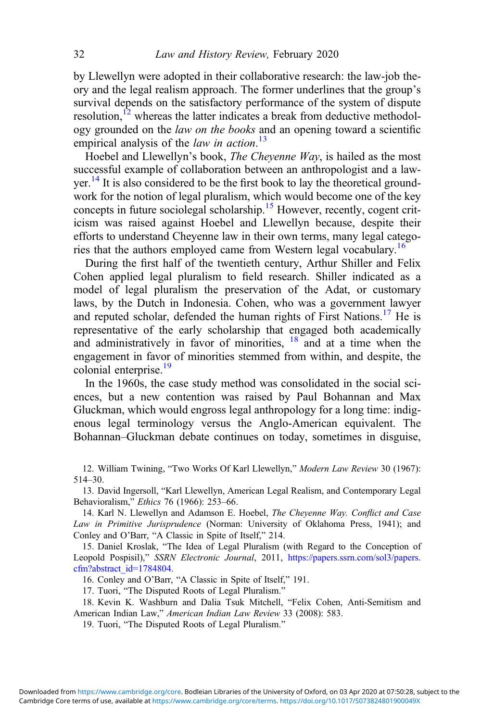by Llewellyn were adopted in their collaborative research: the law-job theory and the legal realism approach. The former underlines that the group's survival depends on the satisfactory performance of the system of dispute resolution, $\frac{12}{12}$  whereas the latter indicates a break from deductive methodology grounded on the law on the books and an opening toward a scientific empirical analysis of the law in action.<sup>13</sup>

Hoebel and Llewellyn's book, The Cheyenne Way, is hailed as the most successful example of collaboration between an anthropologist and a lawyer.<sup>14</sup> It is also considered to be the first book to lay the theoretical groundwork for the notion of legal pluralism, which would become one of the key concepts in future sociolegal scholarship.<sup>15</sup> However, recently, cogent criticism was raised against Hoebel and Llewellyn because, despite their efforts to understand Cheyenne law in their own terms, many legal categories that the authors employed came from Western legal vocabulary.<sup>16</sup>

During the first half of the twentieth century, Arthur Shiller and Felix Cohen applied legal pluralism to field research. Shiller indicated as a model of legal pluralism the preservation of the Adat, or customary laws, by the Dutch in Indonesia. Cohen, who was a government lawyer and reputed scholar, defended the human rights of First Nations.<sup>17</sup> He is representative of the early scholarship that engaged both academically and administratively in favor of minorities,  $18$  and at a time when the engagement in favor of minorities stemmed from within, and despite, the colonial enterprise.<sup>19</sup>

In the 1960s, the case study method was consolidated in the social sciences, but a new contention was raised by Paul Bohannan and Max Gluckman, which would engross legal anthropology for a long time: indigenous legal terminology versus the Anglo-American equivalent. The Bohannan–Gluckman debate continues on today, sometimes in disguise,

12. William Twining, "Two Works Of Karl Llewellyn," Modern Law Review 30 (1967): 514–30.

13. David Ingersoll, "Karl Llewellyn, American Legal Realism, and Contemporary Legal Behavioralism," Ethics 76 (1966): 253–66.

14. Karl N. Llewellyn and Adamson E. Hoebel, The Cheyenne Way. Conflict and Case Law in Primitive Jurisprudence (Norman: University of Oklahoma Press, 1941); and Conley and O'Barr, "A Classic in Spite of Itself," 214.

15. Daniel Kroslak, "The Idea of Legal Pluralism (with Regard to the Conception of Leopold Pospisil)," SSRN Electronic Journal, 2011, [https://papers.ssrn.com/sol3/papers.](https://papers.ssrn.com/sol3/papers.cfm?abstract_id=1784804) [cfm?abstract\\_id=1784804.](https://papers.ssrn.com/sol3/papers.cfm?abstract_id=1784804)

16. Conley and O'Barr, "A Classic in Spite of Itself," 191.

17. Tuori, "The Disputed Roots of Legal Pluralism."

18. Kevin K. Washburn and Dalia Tsuk Mitchell, "Felix Cohen, Anti-Semitism and American Indian Law," American Indian Law Review 33 (2008): 583.

19. Tuori, "The Disputed Roots of Legal Pluralism."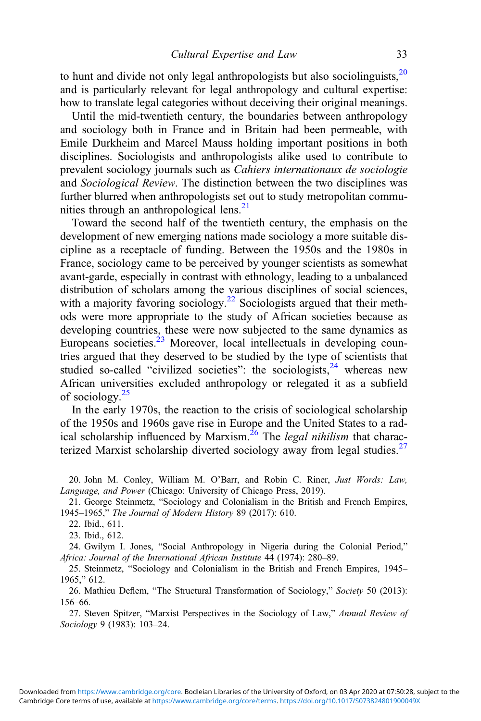to hunt and divide not only legal anthropologists but also sociolinguists.<sup>20</sup> and is particularly relevant for legal anthropology and cultural expertise: how to translate legal categories without deceiving their original meanings.

Until the mid-twentieth century, the boundaries between anthropology and sociology both in France and in Britain had been permeable, with Emile Durkheim and Marcel Mauss holding important positions in both disciplines. Sociologists and anthropologists alike used to contribute to prevalent sociology journals such as Cahiers internationaux de sociologie and Sociological Review. The distinction between the two disciplines was further blurred when anthropologists set out to study metropolitan communities through an anthropological lens. $21$ 

Toward the second half of the twentieth century, the emphasis on the development of new emerging nations made sociology a more suitable discipline as a receptacle of funding. Between the 1950s and the 1980s in France, sociology came to be perceived by younger scientists as somewhat avant-garde, especially in contrast with ethnology, leading to a unbalanced distribution of scholars among the various disciplines of social sciences, with a majority favoring sociology.<sup>22</sup> Sociologists argued that their methods were more appropriate to the study of African societies because as developing countries, these were now subjected to the same dynamics as Europeans societies. $23$  Moreover, local intellectuals in developing countries argued that they deserved to be studied by the type of scientists that studied so-called "civilized societies": the sociologists, $24$  whereas new African universities excluded anthropology or relegated it as a subfield of sociology. $25$ 

In the early 1970s, the reaction to the crisis of sociological scholarship of the 1950s and 1960s gave rise in Europe and the United States to a radical scholarship influenced by Marxism.<sup>26</sup> The *legal nihilism* that characterized Marxist scholarship diverted sociology away from legal studies.<sup>27</sup>

20. John M. Conley, William M. O'Barr, and Robin C. Riner, Just Words: Law, Language, and Power (Chicago: University of Chicago Press, 2019).

21. George Steinmetz, "Sociology and Colonialism in the British and French Empires, 1945–1965," The Journal of Modern History 89 (2017): 610.

22. Ibid., 611.

23. Ibid., 612.

24. Gwilym I. Jones, "Social Anthropology in Nigeria during the Colonial Period," Africa: Journal of the International African Institute 44 (1974): 280–89.

25. Steinmetz, "Sociology and Colonialism in the British and French Empires, 1945– 1965," 612.

26. Mathieu Deflem, "The Structural Transformation of Sociology," Society 50 (2013): 156–66.

27. Steven Spitzer, "Marxist Perspectives in the Sociology of Law," Annual Review of Sociology 9 (1983): 103–24.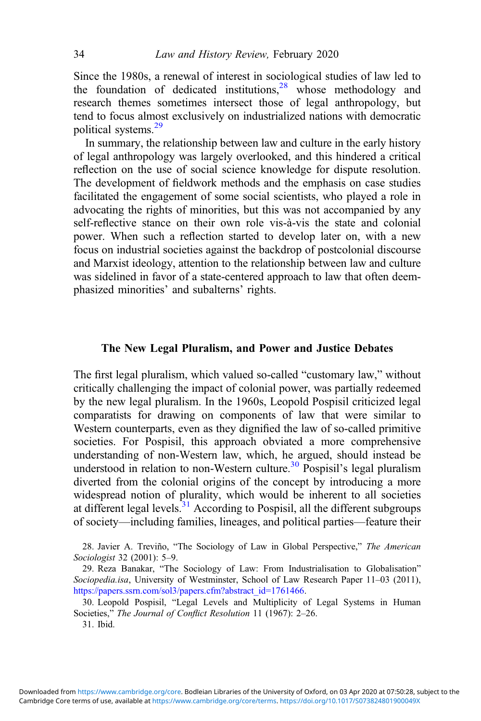Since the 1980s, a renewal of interest in sociological studies of law led to the foundation of dedicated institutions, $28$  whose methodology and research themes sometimes intersect those of legal anthropology, but tend to focus almost exclusively on industrialized nations with democratic political systems.<sup>29</sup>

In summary, the relationship between law and culture in the early history of legal anthropology was largely overlooked, and this hindered a critical reflection on the use of social science knowledge for dispute resolution. The development of fieldwork methods and the emphasis on case studies facilitated the engagement of some social scientists, who played a role in advocating the rights of minorities, but this was not accompanied by any self-reflective stance on their own role vis-à-vis the state and colonial power. When such a reflection started to develop later on, with a new focus on industrial societies against the backdrop of postcolonial discourse and Marxist ideology, attention to the relationship between law and culture was sidelined in favor of a state-centered approach to law that often deemphasized minorities' and subalterns' rights.

### The New Legal Pluralism, and Power and Justice Debates

The first legal pluralism, which valued so-called "customary law," without critically challenging the impact of colonial power, was partially redeemed by the new legal pluralism. In the 1960s, Leopold Pospisil criticized legal comparatists for drawing on components of law that were similar to Western counterparts, even as they dignified the law of so-called primitive societies. For Pospisil, this approach obviated a more comprehensive understanding of non-Western law, which, he argued, should instead be understood in relation to non-Western culture.<sup>30</sup> Pospisil's legal pluralism diverted from the colonial origins of the concept by introducing a more widespread notion of plurality, which would be inherent to all societies at different legal levels.<sup>31</sup> According to Pospisil, all the different subgroups of society—including families, lineages, and political parties—feature their

31. Ibid.

<sup>28.</sup> Javier A. Treviño, "The Sociology of Law in Global Perspective," The American Sociologist 32 (2001): 5–9.

<sup>29.</sup> Reza Banakar, "The Sociology of Law: From Industrialisation to Globalisation" Sociopedia.isa, University of Westminster, School of Law Research Paper 11–03 (2011), [https://papers.ssrn.com/sol3/papers.cfm?abstract\\_id=1761466](https://papers.ssrn.com/sol3/papers.cfm?abstract_id=1761466).

<sup>30.</sup> Leopold Pospisil, "Legal Levels and Multiplicity of Legal Systems in Human Societies," The Journal of Conflict Resolution 11 (1967): 2–26.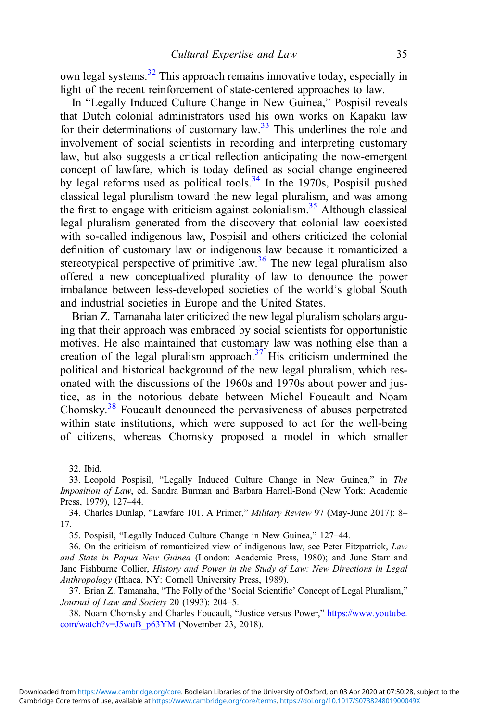own legal systems.<sup>32</sup> This approach remains innovative today, especially in light of the recent reinforcement of state-centered approaches to law.

In "Legally Induced Culture Change in New Guinea," Pospisil reveals that Dutch colonial administrators used his own works on Kapaku law for their determinations of customary law. $33$  This underlines the role and involvement of social scientists in recording and interpreting customary law, but also suggests a critical reflection anticipating the now-emergent concept of lawfare, which is today defined as social change engineered by legal reforms used as political tools. $34$  In the 1970s, Pospisil pushed classical legal pluralism toward the new legal pluralism, and was among the first to engage with criticism against colonialism.<sup>35</sup> Although classical legal pluralism generated from the discovery that colonial law coexisted with so-called indigenous law, Pospisil and others criticized the colonial definition of customary law or indigenous law because it romanticized a stereotypical perspective of primitive law.<sup>36</sup> The new legal pluralism also offered a new conceptualized plurality of law to denounce the power imbalance between less-developed societies of the world's global South and industrial societies in Europe and the United States.

Brian Z. Tamanaha later criticized the new legal pluralism scholars arguing that their approach was embraced by social scientists for opportunistic motives. He also maintained that customary law was nothing else than a creation of the legal pluralism approach.<sup>37</sup> His criticism undermined the political and historical background of the new legal pluralism, which resonated with the discussions of the 1960s and 1970s about power and justice, as in the notorious debate between Michel Foucault and Noam Chomsky.38 Foucault denounced the pervasiveness of abuses perpetrated within state institutions, which were supposed to act for the well-being of citizens, whereas Chomsky proposed a model in which smaller

32. Ibid.

33. Leopold Pospisil, "Legally Induced Culture Change in New Guinea," in The Imposition of Law, ed. Sandra Burman and Barbara Harrell-Bond (New York: Academic Press, 1979), 127–44.

34. Charles Dunlap, "Lawfare 101. A Primer," Military Review 97 (May-June 2017): 8– 17.

35. Pospisil, "Legally Induced Culture Change in New Guinea," 127–44.

36. On the criticism of romanticized view of indigenous law, see Peter Fitzpatrick, Law and State in Papua New Guinea (London: Academic Press, 1980); and June Starr and Jane Fishburne Collier, History and Power in the Study of Law: New Directions in Legal Anthropology (Ithaca, NY: Cornell University Press, 1989).

37. Brian Z. Tamanaha, "The Folly of the 'Social Scientific' Concept of Legal Pluralism," Journal of Law and Society 20 (1993): 204-5.

38. Noam Chomsky and Charles Foucault, "Justice versus Power," [https://www.youtube.](https://www.youtube.com/watch?v=J5wuB_p63YM) [com/watch?v=J5wuB\\_p63YM](https://www.youtube.com/watch?v=J5wuB_p63YM) (November 23, 2018).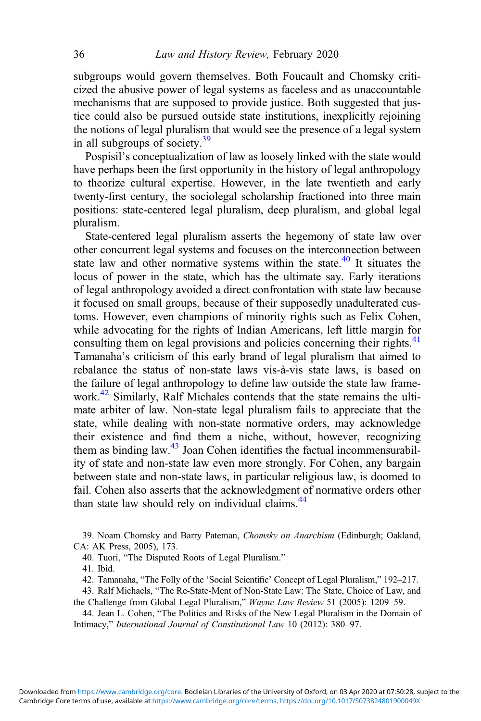subgroups would govern themselves. Both Foucault and Chomsky criticized the abusive power of legal systems as faceless and as unaccountable mechanisms that are supposed to provide justice. Both suggested that justice could also be pursued outside state institutions, inexplicitly rejoining the notions of legal pluralism that would see the presence of a legal system in all subgroups of society. $39$ 

Pospisil's conceptualization of law as loosely linked with the state would have perhaps been the first opportunity in the history of legal anthropology to theorize cultural expertise. However, in the late twentieth and early twenty-first century, the sociolegal scholarship fractioned into three main positions: state-centered legal pluralism, deep pluralism, and global legal pluralism.

State-centered legal pluralism asserts the hegemony of state law over other concurrent legal systems and focuses on the interconnection between state law and other normative systems within the state. $^{40}$  It situates the locus of power in the state, which has the ultimate say. Early iterations of legal anthropology avoided a direct confrontation with state law because it focused on small groups, because of their supposedly unadulterated customs. However, even champions of minority rights such as Felix Cohen, while advocating for the rights of Indian Americans, left little margin for consulting them on legal provisions and policies concerning their rights.<sup>41</sup> Tamanaha's criticism of this early brand of legal pluralism that aimed to rebalance the status of non-state laws vis-à-vis state laws, is based on the failure of legal anthropology to define law outside the state law framework.<sup>42</sup> Similarly, Ralf Michales contends that the state remains the ultimate arbiter of law. Non-state legal pluralism fails to appreciate that the state, while dealing with non-state normative orders, may acknowledge their existence and find them a niche, without, however, recognizing them as binding law.<sup>43</sup> Joan Cohen identifies the factual incommensurability of state and non-state law even more strongly. For Cohen, any bargain between state and non-state laws, in particular religious law, is doomed to fail. Cohen also asserts that the acknowledgment of normative orders other than state law should rely on individual claims.<sup>44</sup>

39. Noam Chomsky and Barry Pateman, Chomsky on Anarchism (Edinburgh; Oakland, CA: AK Press, 2005), 173.

40. Tuori, "The Disputed Roots of Legal Pluralism."

41. Ibid.

42. Tamanaha, "The Folly of the 'Social Scientific' Concept of Legal Pluralism," 192–217.

43. Ralf Michaels, "The Re-State-Ment of Non-State Law: The State, Choice of Law, and the Challenge from Global Legal Pluralism," Wayne Law Review 51 (2005): 1209-59.

44. Jean L. Cohen, "The Politics and Risks of the New Legal Pluralism in the Domain of Intimacy," International Journal of Constitutional Law 10 (2012): 380–97.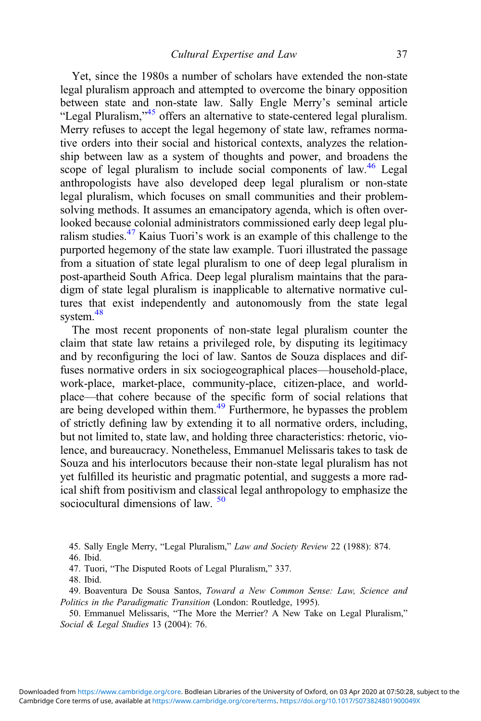Yet, since the 1980s a number of scholars have extended the non-state legal pluralism approach and attempted to overcome the binary opposition between state and non-state law. Sally Engle Merry's seminal article "Legal Pluralism,"<sup>45</sup> offers an alternative to state-centered legal pluralism. Merry refuses to accept the legal hegemony of state law, reframes normative orders into their social and historical contexts, analyzes the relationship between law as a system of thoughts and power, and broadens the scope of legal pluralism to include social components of law.<sup>46</sup> Legal anthropologists have also developed deep legal pluralism or non-state legal pluralism, which focuses on small communities and their problemsolving methods. It assumes an emancipatory agenda, which is often overlooked because colonial administrators commissioned early deep legal pluralism studies.47 Kaius Tuori's work is an example of this challenge to the purported hegemony of the state law example. Tuori illustrated the passage from a situation of state legal pluralism to one of deep legal pluralism in post-apartheid South Africa. Deep legal pluralism maintains that the paradigm of state legal pluralism is inapplicable to alternative normative cultures that exist independently and autonomously from the state legal system.<sup>48</sup>

The most recent proponents of non-state legal pluralism counter the claim that state law retains a privileged role, by disputing its legitimacy and by reconfiguring the loci of law. Santos de Souza displaces and diffuses normative orders in six sociogeographical places—household-place, work-place, market-place, community-place, citizen-place, and worldplace—that cohere because of the specific form of social relations that are being developed within them.<sup> $49$ </sup> Furthermore, he bypasses the problem of strictly defining law by extending it to all normative orders, including, but not limited to, state law, and holding three characteristics: rhetoric, violence, and bureaucracy. Nonetheless, Emmanuel Melissaris takes to task de Souza and his interlocutors because their non-state legal pluralism has not yet fulfilled its heuristic and pragmatic potential, and suggests a more radical shift from positivism and classical legal anthropology to emphasize the sociocultural dimensions of law. <sup>50</sup>

<sup>45.</sup> Sally Engle Merry, "Legal Pluralism," Law and Society Review 22 (1988): 874.

<sup>46.</sup> Ibid.

<sup>47.</sup> Tuori, "The Disputed Roots of Legal Pluralism," 337.

<sup>48.</sup> Ibid.

<sup>49.</sup> Boaventura De Sousa Santos, Toward a New Common Sense: Law, Science and Politics in the Paradigmatic Transition (London: Routledge, 1995).

<sup>50.</sup> Emmanuel Melissaris, "The More the Merrier? A New Take on Legal Pluralism," Social & Legal Studies 13 (2004): 76.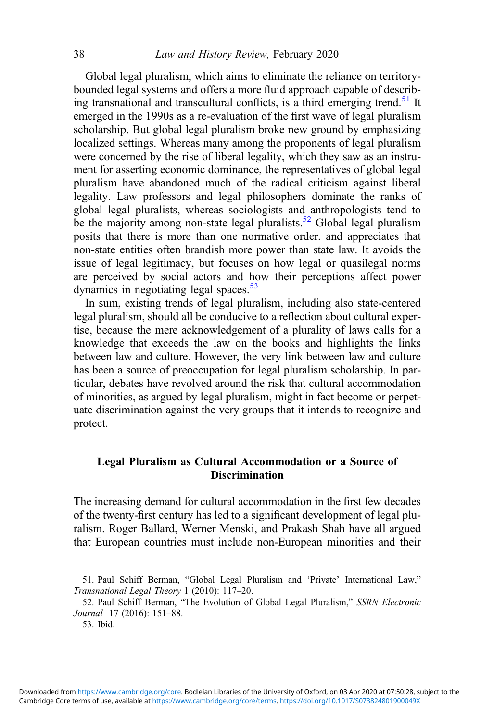Global legal pluralism, which aims to eliminate the reliance on territorybounded legal systems and offers a more fluid approach capable of describing transnational and transcultural conflicts, is a third emerging trend.<sup>51</sup> It emerged in the 1990s as a re-evaluation of the first wave of legal pluralism scholarship. But global legal pluralism broke new ground by emphasizing localized settings. Whereas many among the proponents of legal pluralism were concerned by the rise of liberal legality, which they saw as an instrument for asserting economic dominance, the representatives of global legal pluralism have abandoned much of the radical criticism against liberal legality. Law professors and legal philosophers dominate the ranks of global legal pluralists, whereas sociologists and anthropologists tend to be the majority among non-state legal pluralists.<sup>52</sup> Global legal pluralism posits that there is more than one normative order. and appreciates that non-state entities often brandish more power than state law. It avoids the issue of legal legitimacy, but focuses on how legal or quasilegal norms are perceived by social actors and how their perceptions affect power dynamics in negotiating legal spaces. $53$ 

In sum, existing trends of legal pluralism, including also state-centered legal pluralism, should all be conducive to a reflection about cultural expertise, because the mere acknowledgement of a plurality of laws calls for a knowledge that exceeds the law on the books and highlights the links between law and culture. However, the very link between law and culture has been a source of preoccupation for legal pluralism scholarship. In particular, debates have revolved around the risk that cultural accommodation of minorities, as argued by legal pluralism, might in fact become or perpetuate discrimination against the very groups that it intends to recognize and protect.

## Legal Pluralism as Cultural Accommodation or a Source of **Discrimination**

The increasing demand for cultural accommodation in the first few decades of the twenty-first century has led to a significant development of legal pluralism. Roger Ballard, Werner Menski, and Prakash Shah have all argued that European countries must include non-European minorities and their

53. Ibid.

<sup>51.</sup> Paul Schiff Berman, "Global Legal Pluralism and 'Private' International Law," Transnational Legal Theory 1 (2010): 117–20.

<sup>52.</sup> Paul Schiff Berman, "The Evolution of Global Legal Pluralism," SSRN Electronic Journal 17 (2016): 151–88.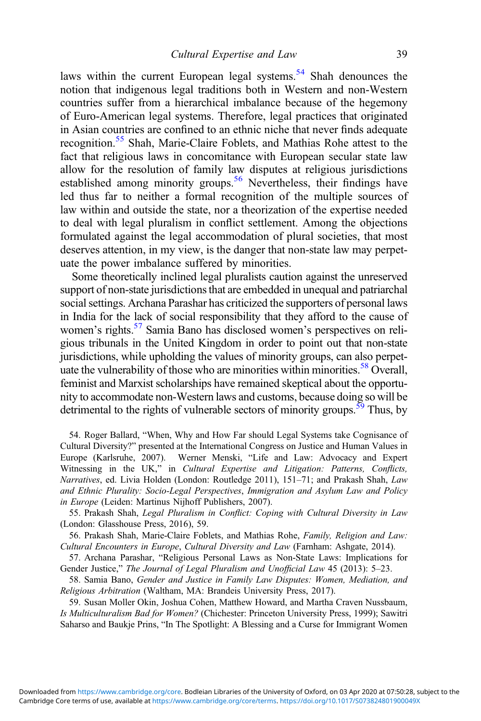laws within the current European legal systems.<sup>54</sup> Shah denounces the notion that indigenous legal traditions both in Western and non-Western countries suffer from a hierarchical imbalance because of the hegemony of Euro-American legal systems. Therefore, legal practices that originated in Asian countries are confined to an ethnic niche that never finds adequate recognition.55 Shah, Marie-Claire Foblets, and Mathias Rohe attest to the fact that religious laws in concomitance with European secular state law allow for the resolution of family law disputes at religious jurisdictions established among minority groups.<sup>56</sup> Nevertheless, their findings have led thus far to neither a formal recognition of the multiple sources of law within and outside the state, nor a theorization of the expertise needed to deal with legal pluralism in conflict settlement. Among the objections formulated against the legal accommodation of plural societies, that most deserves attention, in my view, is the danger that non-state law may perpetuate the power imbalance suffered by minorities.

Some theoretically inclined legal pluralists caution against the unreserved support of non-state jurisdictions that are embedded in unequal and patriarchal social settings. Archana Parashar has criticized the supporters of personal laws in India for the lack of social responsibility that they afford to the cause of women's rights.<sup>57</sup> Samia Bano has disclosed women's perspectives on religious tribunals in the United Kingdom in order to point out that non-state jurisdictions, while upholding the values of minority groups, can also perpetuate the vulnerability of those who are minorities within minorities.<sup>58</sup> Overall, feminist and Marxist scholarships have remained skeptical about the opportunity to accommodate non-Western laws and customs, because doing so will be detrimental to the rights of vulnerable sectors of minority groups.<sup>59</sup> Thus, by

54. Roger Ballard, "When, Why and How Far should Legal Systems take Cognisance of Cultural Diversity?" presented at the International Congress on Justice and Human Values in Europe (Karlsruhe, 2007). Werner Menski, "Life and Law: Advocacy and Expert Witnessing in the UK," in Cultural Expertise and Litigation: Patterns, Conflicts, Narratives, ed. Livia Holden (London: Routledge 2011), 151–71; and Prakash Shah, Law and Ethnic Plurality: Socio-Legal Perspectives, Immigration and Asylum Law and Policy in Europe (Leiden: Martinus Nijhoff Publishers, 2007).

55. Prakash Shah, Legal Pluralism in Conflict: Coping with Cultural Diversity in Law (London: Glasshouse Press, 2016), 59.

56. Prakash Shah, Marie-Claire Foblets, and Mathias Rohe, Family, Religion and Law: Cultural Encounters in Europe, Cultural Diversity and Law (Farnham: Ashgate, 2014).

57. Archana Parashar, "Religious Personal Laws as Non-State Laws: Implications for Gender Justice," The Journal of Legal Pluralism and Unofficial Law 45 (2013): 5–23.

58. Samia Bano, Gender and Justice in Family Law Disputes: Women, Mediation, and Religious Arbitration (Waltham, MA: Brandeis University Press, 2017).

59. Susan Moller Okin, Joshua Cohen, Matthew Howard, and Martha Craven Nussbaum, Is Multiculturalism Bad for Women? (Chichester: Princeton University Press, 1999); Sawitri Saharso and Baukje Prins, "In The Spotlight: A Blessing and a Curse for Immigrant Women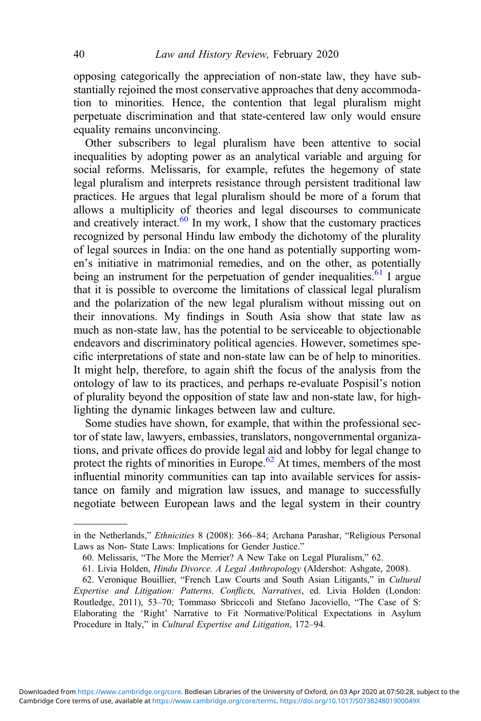opposing categorically the appreciation of non-state law, they have substantially rejoined the most conservative approaches that deny accommodation to minorities. Hence, the contention that legal pluralism might perpetuate discrimination and that state-centered law only would ensure equality remains unconvincing.

Other subscribers to legal pluralism have been attentive to social inequalities by adopting power as an analytical variable and arguing for social reforms. Melissaris, for example, refutes the hegemony of state legal pluralism and interprets resistance through persistent traditional law practices. He argues that legal pluralism should be more of a forum that allows a multiplicity of theories and legal discourses to communicate and creatively interact. $60$  In my work, I show that the customary practices recognized by personal Hindu law embody the dichotomy of the plurality of legal sources in India: on the one hand as potentially supporting women's initiative in matrimonial remedies, and on the other, as potentially being an instrument for the perpetuation of gender inequalities.  $\frac{61}{1}$  I argue that it is possible to overcome the limitations of classical legal pluralism and the polarization of the new legal pluralism without missing out on their innovations. My findings in South Asia show that state law as much as non-state law, has the potential to be serviceable to objectionable endeavors and discriminatory political agencies. However, sometimes specific interpretations of state and non-state law can be of help to minorities. It might help, therefore, to again shift the focus of the analysis from the ontology of law to its practices, and perhaps re-evaluate Pospisil's notion of plurality beyond the opposition of state law and non-state law, for highlighting the dynamic linkages between law and culture.

Some studies have shown, for example, that within the professional sector of state law, lawyers, embassies, translators, nongovernmental organizations, and private offices do provide legal aid and lobby for legal change to protect the rights of minorities in Europe. $62$  At times, members of the most influential minority communities can tap into available services for assistance on family and migration law issues, and manage to successfully negotiate between European laws and the legal system in their country

in the Netherlands," Ethnicities 8 (2008): 366–84; Archana Parashar, "Religious Personal Laws as Non- State Laws: Implications for Gender Justice."

<sup>60.</sup> Melissaris, "The More the Merrier? A New Take on Legal Pluralism," 62.

<sup>61.</sup> Livia Holden, Hindu Divorce. A Legal Anthropology (Aldershot: Ashgate, 2008).

<sup>62.</sup> Veronique Bouillier, "French Law Courts and South Asian Litigants," in Cultural Expertise and Litigation: Patterns, Conflicts, Narratives, ed. Livia Holden (London: Routledge, 2011), 53–70; Tommaso Sbriccoli and Stefano Jacoviello, "The Case of S: Elaborating the 'Right' Narrative to Fit Normative/Political Expectations in Asylum Procedure in Italy," in Cultural Expertise and Litigation, 172–94.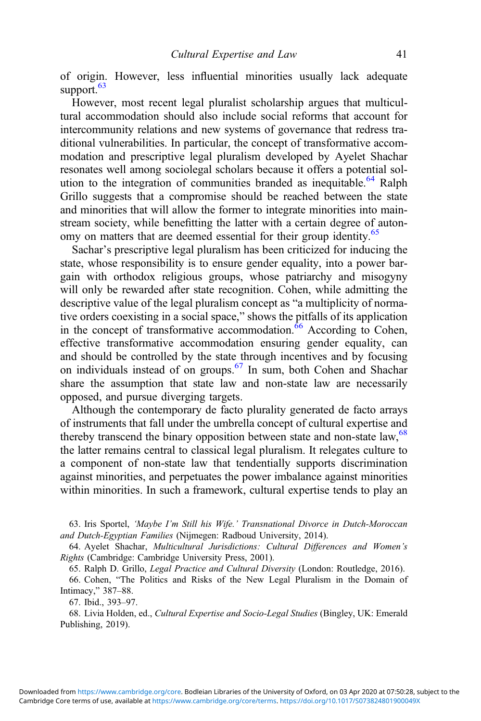of origin. However, less influential minorities usually lack adequate support. $63$ 

However, most recent legal pluralist scholarship argues that multicultural accommodation should also include social reforms that account for intercommunity relations and new systems of governance that redress traditional vulnerabilities. In particular, the concept of transformative accommodation and prescriptive legal pluralism developed by Ayelet Shachar resonates well among sociolegal scholars because it offers a potential solution to the integration of communities branded as inequitable.<sup>64</sup> Ralph Grillo suggests that a compromise should be reached between the state and minorities that will allow the former to integrate minorities into mainstream society, while benefitting the latter with a certain degree of autonomy on matters that are deemed essential for their group identity.<sup>65</sup>

Sachar's prescriptive legal pluralism has been criticized for inducing the state, whose responsibility is to ensure gender equality, into a power bargain with orthodox religious groups, whose patriarchy and misogyny will only be rewarded after state recognition. Cohen, while admitting the descriptive value of the legal pluralism concept as "a multiplicity of normative orders coexisting in a social space," shows the pitfalls of its application in the concept of transformative accommodation.<sup>66</sup> According to Cohen, effective transformative accommodation ensuring gender equality, can and should be controlled by the state through incentives and by focusing on individuals instead of on groups.67 In sum, both Cohen and Shachar share the assumption that state law and non-state law are necessarily opposed, and pursue diverging targets.

Although the contemporary de facto plurality generated de facto arrays of instruments that fall under the umbrella concept of cultural expertise and thereby transcend the binary opposition between state and non-state law, <sup>68</sup> the latter remains central to classical legal pluralism. It relegates culture to a component of non-state law that tendentially supports discrimination against minorities, and perpetuates the power imbalance against minorities within minorities. In such a framework, cultural expertise tends to play an

63. Iris Sportel, 'Maybe I'm Still his Wife.' Transnational Divorce in Dutch-Moroccan and Dutch-Egyptian Families (Nijmegen: Radboud University, 2014).

64. Ayelet Shachar, Multicultural Jurisdictions: Cultural Differences and Women's Rights (Cambridge: Cambridge University Press, 2001).

65. Ralph D. Grillo, Legal Practice and Cultural Diversity (London: Routledge, 2016).

66. Cohen, "The Politics and Risks of the New Legal Pluralism in the Domain of Intimacy," 387–88.

67. Ibid., 393–97.

68. Livia Holden, ed., Cultural Expertise and Socio-Legal Studies (Bingley, UK: Emerald Publishing, 2019).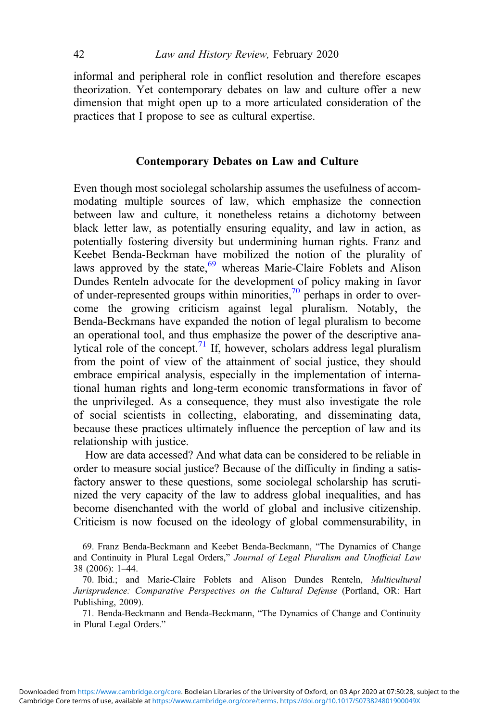informal and peripheral role in conflict resolution and therefore escapes theorization. Yet contemporary debates on law and culture offer a new dimension that might open up to a more articulated consideration of the practices that I propose to see as cultural expertise.

### Contemporary Debates on Law and Culture

Even though most sociolegal scholarship assumes the usefulness of accommodating multiple sources of law, which emphasize the connection between law and culture, it nonetheless retains a dichotomy between black letter law, as potentially ensuring equality, and law in action, as potentially fostering diversity but undermining human rights. Franz and Keebet Benda-Beckman have mobilized the notion of the plurality of laws approved by the state,<sup>69</sup> whereas Marie-Claire Foblets and Alison Dundes Renteln advocate for the development of policy making in favor of under-represented groups within minorities,<sup>70</sup> perhaps in order to overcome the growing criticism against legal pluralism. Notably, the Benda-Beckmans have expanded the notion of legal pluralism to become an operational tool, and thus emphasize the power of the descriptive analytical role of the concept.<sup>71</sup> If, however, scholars address legal pluralism from the point of view of the attainment of social justice, they should embrace empirical analysis, especially in the implementation of international human rights and long-term economic transformations in favor of the unprivileged. As a consequence, they must also investigate the role of social scientists in collecting, elaborating, and disseminating data, because these practices ultimately influence the perception of law and its relationship with justice.

How are data accessed? And what data can be considered to be reliable in order to measure social justice? Because of the difficulty in finding a satisfactory answer to these questions, some sociolegal scholarship has scrutinized the very capacity of the law to address global inequalities, and has become disenchanted with the world of global and inclusive citizenship. Criticism is now focused on the ideology of global commensurability, in

71. Benda-Beckmann and Benda-Beckmann, "The Dynamics of Change and Continuity in Plural Legal Orders."

<sup>69.</sup> Franz Benda-Beckmann and Keebet Benda-Beckmann, "The Dynamics of Change and Continuity in Plural Legal Orders," Journal of Legal Pluralism and Unofficial Law 38 (2006): 1–44.

<sup>70.</sup> Ibid.; and Marie-Claire Foblets and Alison Dundes Renteln, Multicultural Jurisprudence: Comparative Perspectives on the Cultural Defense (Portland, OR: Hart Publishing, 2009).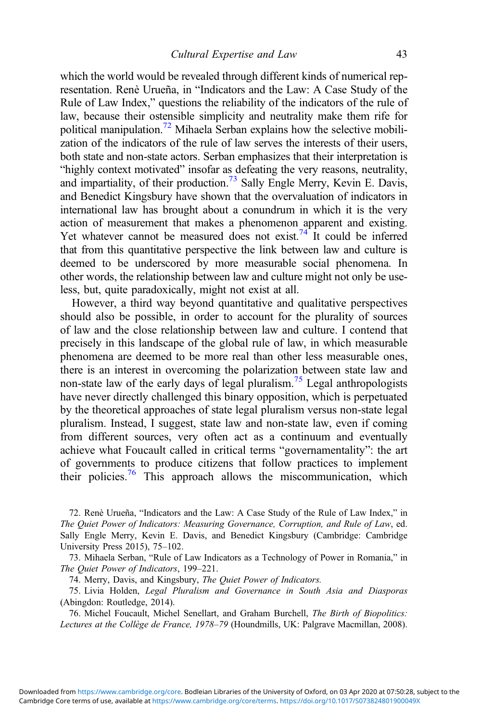which the world would be revealed through different kinds of numerical representation. Renè Urueña, in "Indicators and the Law: A Case Study of the Rule of Law Index," questions the reliability of the indicators of the rule of law, because their ostensible simplicity and neutrality make them rife for political manipulation.<sup>72</sup> Mihaela Serban explains how the selective mobilization of the indicators of the rule of law serves the interests of their users, both state and non-state actors. Serban emphasizes that their interpretation is "highly context motivated" insofar as defeating the very reasons, neutrality, and impartiality, of their production.73 Sally Engle Merry, Kevin E. Davis, and Benedict Kingsbury have shown that the overvaluation of indicators in international law has brought about a conundrum in which it is the very action of measurement that makes a phenomenon apparent and existing. Yet whatever cannot be measured does not exist.<sup>74</sup> It could be inferred that from this quantitative perspective the link between law and culture is deemed to be underscored by more measurable social phenomena. In other words, the relationship between law and culture might not only be useless, but, quite paradoxically, might not exist at all.

However, a third way beyond quantitative and qualitative perspectives should also be possible, in order to account for the plurality of sources of law and the close relationship between law and culture. I contend that precisely in this landscape of the global rule of law, in which measurable phenomena are deemed to be more real than other less measurable ones, there is an interest in overcoming the polarization between state law and non-state law of the early days of legal pluralism.<sup>75</sup> Legal anthropologists have never directly challenged this binary opposition, which is perpetuated by the theoretical approaches of state legal pluralism versus non-state legal pluralism. Instead, I suggest, state law and non-state law, even if coming from different sources, very often act as a continuum and eventually achieve what Foucault called in critical terms "governamentality": the art of governments to produce citizens that follow practices to implement their policies.<sup>76</sup> This approach allows the miscommunication, which

72. Renè Urueña, "Indicators and the Law: A Case Study of the Rule of Law Index," in The Quiet Power of Indicators: Measuring Governance, Corruption, and Rule of Law, ed. Sally Engle Merry, Kevin E. Davis, and Benedict Kingsbury (Cambridge: Cambridge University Press 2015), 75–102.

73. Mihaela Serban, "Rule of Law Indicators as a Technology of Power in Romania," in The Quiet Power of Indicators, 199–221.

74. Merry, Davis, and Kingsbury, The Quiet Power of Indicators.

75. Livia Holden, Legal Pluralism and Governance in South Asia and Diasporas (Abingdon: Routledge, 2014).

76. Michel Foucault, Michel Senellart, and Graham Burchell, The Birth of Biopolitics: Lectures at the Collège de France, 1978–79 (Houndmills, UK: Palgrave Macmillan, 2008).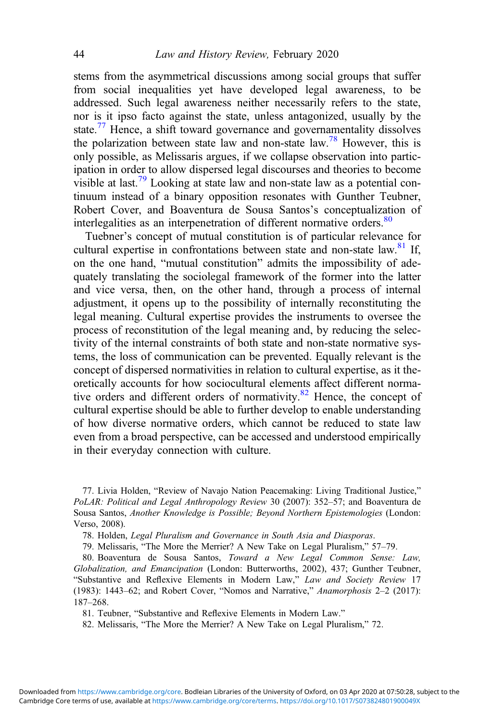stems from the asymmetrical discussions among social groups that suffer from social inequalities yet have developed legal awareness, to be addressed. Such legal awareness neither necessarily refers to the state, nor is it ipso facto against the state, unless antagonized, usually by the state.<sup>77</sup> Hence, a shift toward governance and governamentality dissolves the polarization between state law and non-state law.78 However, this is only possible, as Melissaris argues, if we collapse observation into participation in order to allow dispersed legal discourses and theories to become visible at last.<sup>79</sup> Looking at state law and non-state law as a potential continuum instead of a binary opposition resonates with Gunther Teubner, Robert Cover, and Boaventura de Sousa Santos's conceptualization of interlegalities as an interpenetration of different normative orders.<sup>80</sup>

Tuebner's concept of mutual constitution is of particular relevance for cultural expertise in confrontations between state and non-state law. $81$  If, on the one hand, "mutual constitution" admits the impossibility of adequately translating the sociolegal framework of the former into the latter and vice versa, then, on the other hand, through a process of internal adjustment, it opens up to the possibility of internally reconstituting the legal meaning. Cultural expertise provides the instruments to oversee the process of reconstitution of the legal meaning and, by reducing the selectivity of the internal constraints of both state and non-state normative systems, the loss of communication can be prevented. Equally relevant is the concept of dispersed normativities in relation to cultural expertise, as it theoretically accounts for how sociocultural elements affect different normative orders and different orders of normativity.<sup>82</sup> Hence, the concept of cultural expertise should be able to further develop to enable understanding of how diverse normative orders, which cannot be reduced to state law even from a broad perspective, can be accessed and understood empirically in their everyday connection with culture.

77. Livia Holden, "Review of Navajo Nation Peacemaking: Living Traditional Justice," PoLAR: Political and Legal Anthropology Review 30 (2007): 352–57; and Boaventura de Sousa Santos, Another Knowledge is Possible; Beyond Northern Epistemologies (London: Verso, 2008).

78. Holden, Legal Pluralism and Governance in South Asia and Diasporas.

79. Melissaris, "The More the Merrier? A New Take on Legal Pluralism," 57–79.

80. Boaventura de Sousa Santos, Toward a New Legal Common Sense: Law, Globalization, and Emancipation (London: Butterworths, 2002), 437; Gunther Teubner, "Substantive and Reflexive Elements in Modern Law," Law and Society Review 17 (1983): 1443–62; and Robert Cover, "Nomos and Narrative," Anamorphosis 2–2 (2017): 187–268.

81. Teubner, "Substantive and Reflexive Elements in Modern Law."

82. Melissaris, "The More the Merrier? A New Take on Legal Pluralism," 72.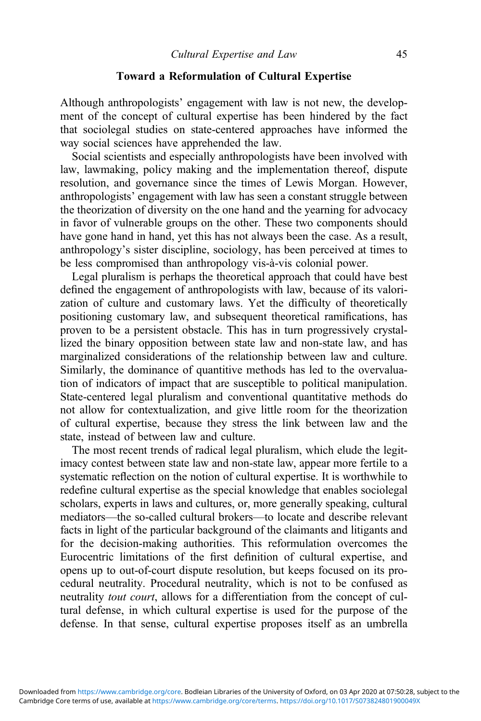### Toward a Reformulation of Cultural Expertise

Although anthropologists' engagement with law is not new, the development of the concept of cultural expertise has been hindered by the fact that sociolegal studies on state-centered approaches have informed the way social sciences have apprehended the law.

Social scientists and especially anthropologists have been involved with law, lawmaking, policy making and the implementation thereof, dispute resolution, and governance since the times of Lewis Morgan. However, anthropologists' engagement with law has seen a constant struggle between the theorization of diversity on the one hand and the yearning for advocacy in favor of vulnerable groups on the other. These two components should have gone hand in hand, yet this has not always been the case. As a result, anthropology's sister discipline, sociology, has been perceived at times to be less compromised than anthropology vis-à-vis colonial power.

Legal pluralism is perhaps the theoretical approach that could have best defined the engagement of anthropologists with law, because of its valorization of culture and customary laws. Yet the difficulty of theoretically positioning customary law, and subsequent theoretical ramifications, has proven to be a persistent obstacle. This has in turn progressively crystallized the binary opposition between state law and non-state law, and has marginalized considerations of the relationship between law and culture. Similarly, the dominance of quantitive methods has led to the overvaluation of indicators of impact that are susceptible to political manipulation. State-centered legal pluralism and conventional quantitative methods do not allow for contextualization, and give little room for the theorization of cultural expertise, because they stress the link between law and the state, instead of between law and culture.

The most recent trends of radical legal pluralism, which elude the legitimacy contest between state law and non-state law, appear more fertile to a systematic reflection on the notion of cultural expertise. It is worthwhile to redefine cultural expertise as the special knowledge that enables sociolegal scholars, experts in laws and cultures, or, more generally speaking, cultural mediators—the so-called cultural brokers—to locate and describe relevant facts in light of the particular background of the claimants and litigants and for the decision-making authorities. This reformulation overcomes the Eurocentric limitations of the first definition of cultural expertise, and opens up to out-of-court dispute resolution, but keeps focused on its procedural neutrality. Procedural neutrality, which is not to be confused as neutrality *tout court*, allows for a differentiation from the concept of cultural defense, in which cultural expertise is used for the purpose of the defense. In that sense, cultural expertise proposes itself as an umbrella